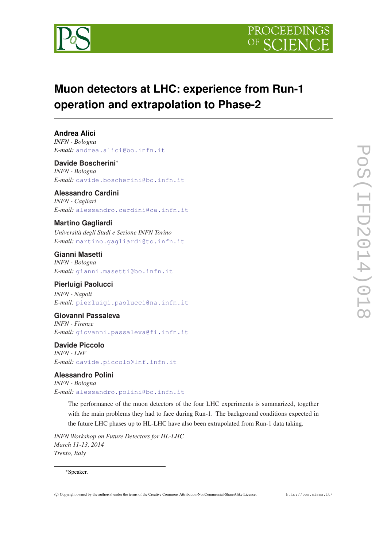



# **Muon detectors at LHC: experience from Run-1 operation and extrapolation to Phase-2**

## **Andrea Alici**

*INFN - Bologna E-mail:* [andrea.alici@bo.infn.it](mailto:andrea.alici@bo.infn.it)

#### **Davide Boscherini**<sup>∗</sup>

*INFN - Bologna E-mail:* [davide.boscherini@bo.infn.it](mailto:davide.boscherini@bo.infn.it)

## **Alessandro Cardini**

*INFN - Cagliari E-mail:* [alessandro.cardini@ca.infn.it](mailto:alessandro.cardini@ca.infn.it)

### **Martino Gagliardi**

*Università degli Studi e Sezione INFN Torino E-mail:* [martino.gagliardi@to.infn.it](mailto:martino.gagliardi@to.infn.it)

#### **Gianni Masetti** *INFN - Bologna*

*E-mail:* [gianni.masetti@bo.infn.it](mailto:gianni.masetti@bo.infn.it)

## **Pierluigi Paolucci**

*INFN - Napoli E-mail:* [pierluigi.paolucci@na.infn.it](mailto:pierluigi.paolucci@na.infn.it)

#### **Giovanni Passaleva**

*INFN - Firenze E-mail:* [giovanni.passaleva@fi.infn.it](mailto:giovanni.passaleva@fi.infn.it)

## **Davide Piccolo**

*INFN - LNF E-mail:* [davide.piccolo@lnf.infn.it](mailto:davide.piccolo@lnf.infn.it)

## **Alessandro Polini**

*INFN - Bologna E-mail:* [alessandro.polini@bo.infn.it](mailto:alessandro.polini@bo.infn.it)

> The performance of the muon detectors of the four LHC experiments is summarized, together with the main problems they had to face during Run-1. The background conditions expected in the future LHC phases up to HL-LHC have also been extrapolated from Run-1 data taking.

*INFN Workshop on Future Detectors for HL-LHC March 11-13, 2014 Trento, Italy*

#### <sup>∗</sup>Speaker.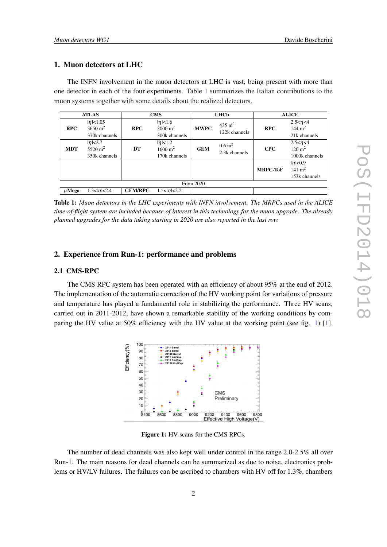#### 1. Muon detectors at LHC

The INFN involvement in the muon detectors at LHC is vast, being present with more than one detector in each of the four experiments. Table 1 summarizes the Italian contributions to the muon systems together with some details about the realized detectors.

| <b>ATLAS</b> |                                                        | <b>CMS</b>     |                                                           | <b>LHCb</b> |                                        | <b>ALICE</b>    |                                                         |
|--------------|--------------------------------------------------------|----------------|-----------------------------------------------------------|-------------|----------------------------------------|-----------------|---------------------------------------------------------|
| <b>RPC</b>   | $ \eta $ < 1.05<br>$3650 \text{ m}^2$<br>370k channels | <b>RPC</b>     | $ \eta $ < 1.6<br>$3000 \text{ m}^2$<br>300k channels     | <b>MWPC</b> | $435 \text{ m}^2$<br>122k channels     | <b>RPC</b>      | $2.5 < \eta < 4$<br>144 $m2$<br>21k channels            |
| <b>MDT</b>   | $ \eta $ $<$ 2.7<br>5520 $m2$<br>350k channels         | DT             | $ \eta $ $\lt$ 1.2<br>$1600 \text{ m}^2$<br>170k channels | <b>GEM</b>  | $0.6 \; \mathrm{m}^2$<br>2.3k channels | <b>CPC</b>      | $2.5 < \eta < 4$<br>$120 \text{ m}^2$<br>1000k channels |
|              |                                                        |                |                                                           |             |                                        | <b>MRPC-ToF</b> | $ \eta $ < 0.9<br>$141 \text{ m}^2$<br>153k channels    |
| From 2020    |                                                        |                |                                                           |             |                                        |                 |                                                         |
| $\mu$ Mega   | $1.3 <  \eta  < 2.4$                                   | <b>GEM/RPC</b> | $1.5 <  \eta  < 2.2$                                      |             |                                        |                 |                                                         |

Table 1: *Muon detectors in the LHC experiments with INFN involvement. The MRPCs used in the ALICE time-of-flight system are included because of interest in this technology for the muon upgrade. The already planned upgrades for the data taking starting in 2020 are also reported in the last row.*

#### 2. Experience from Run-1: performance and problems

#### 2.1 CMS-RPC

The CMS RPC system has been operated with an efficiency of about 95% at the end of 2012. The implementation of the automatic correction of the HV working point for variations of pressure and temperature has played a fundamental role in stabilizing the performance. Three HV scans, carried out in 2011-2012, have shown a remarkable stability of the working conditions by com-paring the HV value at 50% efficiency with the HV value at the working point (see fig. 1) [\[1\]](#page-6-0).



Figure 1: HV scans for the CMS RPCs.

The number of dead channels was also kept well under control in the range 2.0-2.5% all over Run-1. The main reasons for dead channels can be summarized as due to noise, electronics problems or HV/LV failures. The failures can be ascribed to chambers with HV off for 1.3%, chambers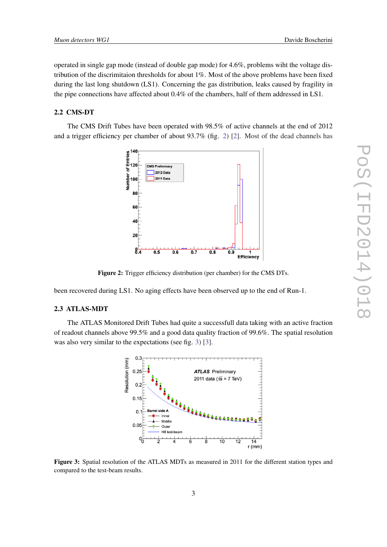operated in single gap mode (instead of double gap mode) for 4.6%, problems wiht the voltage distribution of the discrimitaion thresholds for about 1%. Most of the above problems have been fixed during the last long shutdown (LS1). Concerning the gas distribution, leaks caused by fragility in the pipe connections have affected about 0.4% of the chambers, half of them addressed in LS1.

#### 2.2 CMS-DT

The CMS Drift Tubes have been operated with 98.5% of active channels at the end of 2012 and a trigger efficiency per chamber of about 93.7% (fig. 2) [\[2\]](#page-6-0). Most of the dead channels has



Figure 2: Trigger efficiency distribution (per chamber) for the CMS DTs.

been recovered during LS1. No aging effects have been observed up to the end of Run-1.

#### 2.3 ATLAS-MDT

The ATLAS Monitored Drift Tubes had quite a successfull data taking with an active fraction of readout channels above 99.5% and a good data quality fraction of 99.6%. The spatial resolution was also very similar to the expectations (see fig. 3) [[3](#page-6-0)].



Figure 3: Spatial resolution of the ATLAS MDTs as measured in 2011 for the different station types and compared to the test-beam results.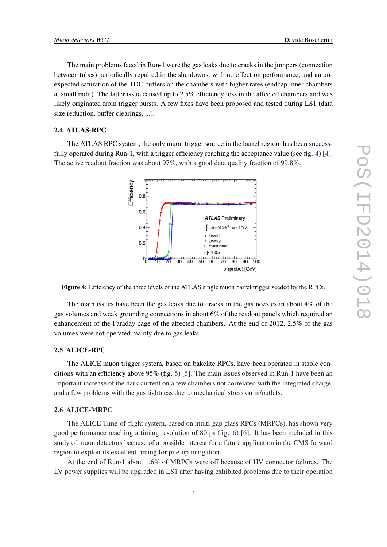The main problems faced in Run-1 were the gas leaks due to cracks in the jumpers (connection between tubes) periodically repaired in the shutdowns, with no effect on performance, and an unexpected saturation of the TDC buffers on the chambers with higher rates (endcap inner chambers at small radii). The latter issue caused up to 2.5% efficiency loss in the affected chambers and was likely originated from trigger bursts. A few fixes have been proposed and tested during LS1 (data size reduction, buffer clearings, ...).

#### 2.4 ATLAS-RPC

The ATLAS RPC system, the only muon trigger source in the barrel region, has been success-fully operated during Run-1, with a trigger efficiency reaching the acceptance value (see fig. 4) [\[4\]](#page-6-0). The active readout fraction was about 97%, with a good data quality fraction of 99.8%.



Figure 4: Efficiency of the three levels of the ATLAS single muon barrel trigger seeded by the RPCs.

The main issues have been the gas leaks due to cracks in the gas nozzles in about 4% of the gas volumes and weak grounding connections in about 6% of the readout panels which required an enhancement of the Faraday cage of the affected chambers. At the end of 2012, 2.5% of the gas volumes were not operated mainly due to gas leaks.

#### 2.5 ALICE-RPC

The ALICE muon trigger system, based on bakelite RPCs, have been operated in stable conditions with an efficiency above  $95\%$  $95\%$  $95\%$  (fig. 5) [\[5\]](#page-7-0). The main issues observed in Run-1 have been an important increase of the dark current on a few chambers not correlated with the integrated charge, and a few problems with the gas tightness due to mechanical stress on in/outlets.

#### 2.6 ALICE-MRPC

The ALICE Time-of-flight system, based on multi-gap glass RPCs (MRPCs), has shown very good performance reaching a timing resolution of 80 ps (fig. [6\)](#page-4-0) [\[6\]](#page-7-0). It has been included in this study of muon detectors because of a possible interest for a future application in the CMS forward region to exploit its excellent timing for pile-up mitigation.

At the end of Run-1 about 1.6% of MRPCs were off because of HV connector failures. The LV power supplies will be upgraded in LS1 after having exhibited problems due to their operation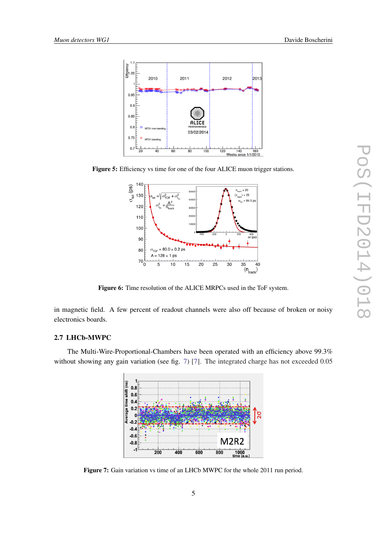<span id="page-4-0"></span>

Figure 5: Efficiency vs time for one of the four ALICE muon trigger stations.



Figure 6: Time resolution of the ALICE MRPCs used in the ToF system.

in magnetic field. A few percent of readout channels were also off because of broken or noisy electronics boards.

#### 2.7 LHCb-MWPC

The Multi-Wire-Proportional-Chambers have been operated with an efficiency above 99.3% without showing any gain variation (see fig. 7) [\[7\]](#page-7-0). The integrated charge has not exceeded 0.05



Figure 7: Gain variation vs time of an LHCb MWPC for the whole 2011 run period.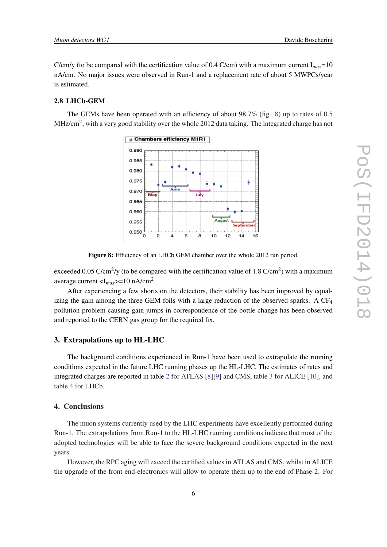C/cm/y (to be compared with the certification value of 0.4 C/cm) with a maximum current  $I_{max}=10$ nA/cm. No major issues were observed in Run-1 and a replacement rate of about 5 MWPCs/year is estimated.

#### 2.8 LHCb-GEM

The GEMs have been operated with an efficiency of about 98.7% (fig. 8) up to rates of 0.5 MHz/cm<sup>2</sup>, with a very good stability over the whole 2012 data taking. The integrated charge has not



Figure 8: Efficiency of an LHCb GEM chamber over the whole 2012 run period.

exceeded 0.05 C/cm<sup>2</sup>/y (to be compared with the certification value of 1.8 C/cm<sup>2</sup>) with a maximum average current <I*max*>=10 nA/cm<sup>2</sup> .

After experiencing a few shorts on the detectors, their stability has been improved by equalizing the gain among the three GEM foils with a large reduction of the observed sparks. A CF<sub>4</sub> pollution problem causing gain jumps in correspondence of the bottle change has been observed and reported to the CERN gas group for the required fix.

#### 3. Extrapolations up to HL-LHC

The background conditions experienced in Run-1 have been used to extrapolate the running conditions expected in the future LHC running phases up the HL-LHC. The estimates of rates and integrated charges are reported in table [2](#page-6-0) for ATLAS [\[8\]](#page-7-0)[[9](#page-7-0)] and CMS, table [3](#page-6-0) for ALICE [\[10](#page-7-0)], and table [4](#page-6-0) for LHCb.

#### 4. Conclusions

The muon systems currently used by the LHC experiments have excellently performed during Run-1. The extrapolations from Run-1 to the HL-LHC running conditions indicate that most of the adopted technologies will be able to face the severe background conditions expected in the next years.

However, the RPC aging will exceed the certified values in ATLAS and CMS, whilst in ALICE the upgrade of the front-end-electronics will allow to operate them up to the end of Phase-2. For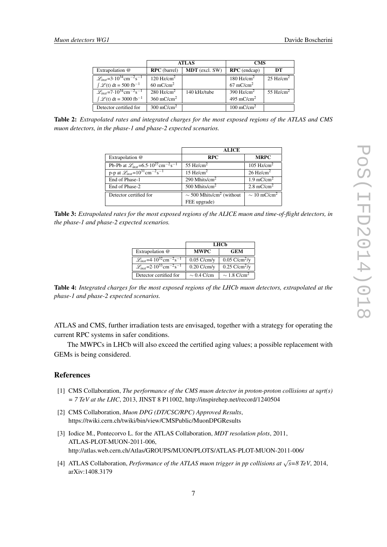<span id="page-6-0"></span>

|                                                                           | <b>ATLAS</b>           |                       | <b>CMS</b>             |                       |
|---------------------------------------------------------------------------|------------------------|-----------------------|------------------------|-----------------------|
| Extrapolation @                                                           | <b>RPC</b> (barrel)    | <b>MDT</b> (excl. SW) | $RPC$ (endcap)         | DТ                    |
| $\mathcal{L}_{inst}$ =3.10 <sup>34</sup> cm <sup>-2</sup> s <sup>-1</sup> | $120 \text{ Hz/cm}^2$  |                       | $180 \text{ Hz/cm}^2$  | $25 \text{ Hz/cm}^2$  |
| $\int \mathcal{L}(t) dt = 500$ fb <sup>-1</sup>                           | $60 \text{ mC/cm}^2$   |                       | $67 \text{ mC/cm}^2$   |                       |
| $\mathcal{L}_{inst} = 7.10^{34} \text{cm}^{-2}\text{s}^{-1}$              | 280 Hz/cm <sup>2</sup> | 140 kHz/tube          | 390 $Hz/cm2$           | 55 Hz/cm <sup>2</sup> |
| $\int \mathcal{L}(t) dt = 3000$ fb <sup>-1</sup>                          | $360 \text{ mC/cm}^2$  |                       | 495 mC/cm <sup>2</sup> |                       |
| Detector certified for                                                    | $300 \text{ mC/cm}^2$  |                       | $100 \text{ mC/cm}^2$  |                       |

Table 2: *Extrapolated rates and integrated charges for the most exposed regions of the ATLAS and CMS muon detectors, in the phase-1 and phase-2 expected scenarios.*

|                                                                                | <b>ALICE</b>                              |                           |
|--------------------------------------------------------------------------------|-------------------------------------------|---------------------------|
| Extrapolation @                                                                | <b>RPC</b>                                | <b>MRPC</b>               |
| Pb-Pb at $\mathcal{L}_{inst} = 6.5 \cdot 10^{27} \text{cm}^{-2} \text{s}^{-1}$ | 55 Hz/cm <sup>2</sup>                     | 105 $Hz/cm2$              |
| p-p at $\mathcal{L}_{inst}$ =10 <sup>31</sup> cm <sup>-2</sup> s <sup>-1</sup> | 15 Hz/cm <sup>2</sup>                     | $26$ Hz/cm <sup>2</sup>   |
| End of Phase-1                                                                 | 290 Mhits/ $cm2$                          | $1.9$ mC/cm <sup>2</sup>  |
| End of Phase-2                                                                 | 500 Mhits/cm <sup>2</sup>                 | $2.8 \text{ mC/cm}^2$     |
| Detector certified for                                                         | $\sim$ 500 Mhits/cm <sup>2</sup> (without | $\sim 10 \text{ mC/cm}^2$ |
|                                                                                | FEE upgrade)                              |                           |

Table 3: *Extrapolated rates for the most exposed regions of the ALICE muon and time-of-flight detectors, in the phase-1 and phase-2 expected scenarios.*

|                                                                           | LHCb            |                                |  |  |
|---------------------------------------------------------------------------|-----------------|--------------------------------|--|--|
| Extrapolation @                                                           | <b>MWPC</b>     | <b>GEM</b>                     |  |  |
| $\mathcal{L}_{inst}$ =4.10 <sup>32</sup> cm <sup>-2</sup> s <sup>-1</sup> | $0.05$ C/cm/y   | $0.05$ C/cm <sup>2</sup> /y    |  |  |
| $\mathcal{L}_{inst}$ =2.10 <sup>33</sup> cm <sup>-2</sup> s <sup>-1</sup> | $0.20$ C/cm/y   | $0.25 \text{ C/cm}^2/\text{V}$ |  |  |
| Detector certified for                                                    | $\sim 0.4$ C/cm | $\sim$ 1.8 C/cm <sup>2</sup>   |  |  |

Table 4: *Integrated charges for the most exposed regions of the LHCb muon detectors, extrapolated at the phase-1 and phase-2 expected scenarios.*

ATLAS and CMS, further irradiation tests are envisaged, together with a strategy for operating the current RPC systems in safer conditions.

The MWPCs in LHCb will also exceed the certified aging values; a possible replacement with GEMs is being considered.

#### **References**

- [1] CMS Collaboration, *The performance of the CMS muon detector in proton-proton collisions at sqrt(s)*  $= 7$  TeV at the LHC, 2013, JINST 8 P11002, http://inspirehep.net/record/1240504
- [2] CMS Collaboration, *Muon DPG (DT/CSC/RPC) Approved Results*, https://twiki.cern.ch/twiki/bin/view/CMSPublic/MuonDPGResults
- [3] Iodice M., Pontecorvo L. for the ATLAS Collaboration, *MDT resolution plots*, 2011, ATLAS-PLOT-MUON-2011-006, http://atlas.web.cern.ch/Atlas/GROUPS/MUON/PLOTS/ATLAS-PLOT-MUON-2011-006/
- [4] ATLAS Collaboration, *Performance of the ATLAS muon trigger in pp collisions at* <sup>√</sup> *s=8 TeV*, 2014, arXiv:1408.3179